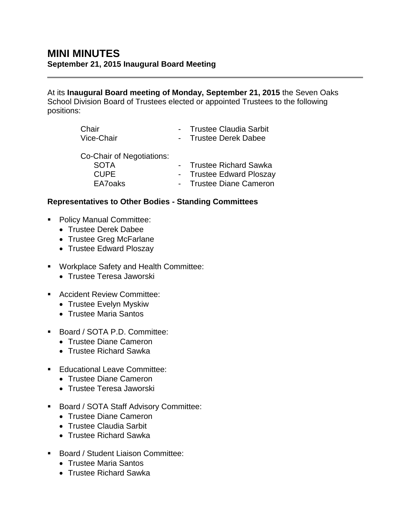At its **Inaugural Board meeting of Monday, September 21, 2015** the Seven Oaks School Division Board of Trustees elected or appointed Trustees to the following positions:

| Chair                     | - Trustee Claudia Sarbit |
|---------------------------|--------------------------|
| Vice-Chair                | - Trustee Derek Dabee    |
| Co-Chair of Negotiations: |                          |
| <b>SOTA</b>               | - Trustee Richard Sawka  |
| <b>CUPE</b>               | - Trustee Edward Ploszay |
| EA7oaks                   | - Trustee Diane Cameron  |

## **Representatives to Other Bodies - Standing Committees**

- Policy Manual Committee:
	- Trustee Derek Dabee
	- Trustee Greg McFarlane
	- Trustee Edward Ploszay
- **Workplace Safety and Health Committee:** 
	- Trustee Teresa Jaworski
- **Accident Review Committee:** 
	- Trustee Evelyn Myskiw
	- Trustee Maria Santos
- Board / SOTA P.D. Committee:
	- Trustee Diane Cameron
	- Trustee Richard Sawka
- **Educational Leave Committee:** 
	- Trustee Diane Cameron
	- Trustee Teresa Jaworski
- **Board / SOTA Staff Advisory Committee:** 
	- Trustee Diane Cameron
	- Trustee Claudia Sarbit
	- Trustee Richard Sawka
- **Board / Student Liaison Committee:** 
	- Trustee Maria Santos
	- Trustee Richard Sawka